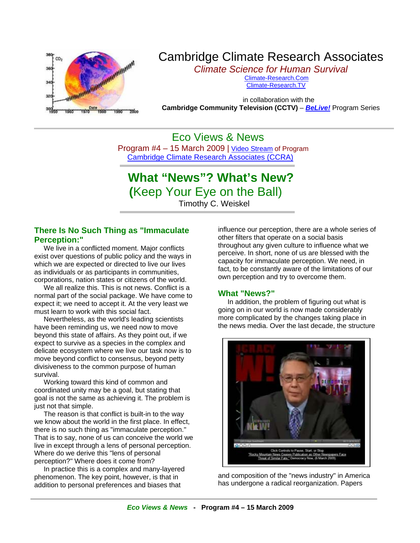

j

## Cambridge Climate Research Associates

*Climate Science for Human Survival* 

[Climate-Research.Com](http://climate-research.com/) [Climate-Research.TV](http://climate-research.tv/)

 in collaboration with the **Cambridge Community Television (CCTV)** – *[BeLive!](http://www.cctvcambridge.org/ccra/)* Program Series

ECO Views & News<br>Program #4 – 15 March 2009 | Video Stream of Program [Cambridge Climate Research Associates \(CCRA\)](http://climate-research.com/)

# **What "News"? What's New? (**Keep Your Eye on the Ball)Timothy C. Weiskel

j

j

### **There Is No Such Thing as "Immaculate Perception:"**

 We live in a conflicted moment. Major conflicts exist over questions of public policy and the ways in which we are expected or directed to live our lives as individuals or as participants in communities, corporations, nation states or citizens of the world.

We all realize this. This is not news. Conflict is a normal part of the social package. We have come to expect it; we need to accept it. At the very least we must learn to work with this social fact.

 Nevertheless, as the world's leading scientists have been reminding us, we need now to move beyond this state of affairs. As they point out, if we expect to survive as a species in the complex and delicate ecosystem where we live our task now is to move beyond conflict to consensus, beyond petty divisiveness to the common purpose of human survival.

 Working toward this kind of common and coordinated unity may be a goal, but stating that goal is not the same as achieving it. The problem is just not that simple.

 The reason is that conflict is built-in to the way we know about the world in the first place. In effect, there is no such thing as "immaculate perception." That is to say, none of us can conceive the world we live in except through a lens of personal perception. Where do we derive this "lens of personal perception?" Where does it come from?

 In practice this is a complex and many-layered phenomenon. The key point, however, is that in addition to personal preferences and biases that

influence our perception, there are a whole series of other filters that operate on a social basis throughout any given culture to influence what we perceive. In short, none of us are blessed with the capacity for immaculate perception. We need, in fact, to be constantly aware of the limitations of our own perception and try to overcome them.

#### **What "News?"**

In addition, the problem of figuring out what is going on in our world is now made considerably more complicated by the changes taking place in the news media. Over the last decade, the structure



and composition of the "news industry" in America has undergone a radical reorganization. Papers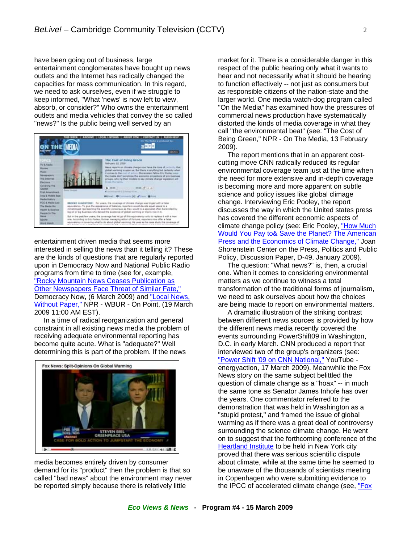have been going out of business, large entertainment conglomerates have bought up news outlets and the Internet has radically changed the capacities for mass communication. In this regard, we need to ask ourselves, even if we struggle to keep informed, "What 'news' is now left to view, absorb, or consider?" Who owns the entertainment outlets and media vehicles that convey the so called "news?" Is the public being well served by an

j



entertainment driven media that seems more interested in selling the news than it telling it? These are the kinds of questions that are regularly reported upon in Democracy Now and National Public Radio programs from time to time (see for, example, ["Rocky Mountain News Ceases Publication as](http://www.climate-talks.net/2008-ENVRE130/Video/20090306-DN-Newspapers.htm)  [Other Newspapers Face Threat of Similar Fate,"](http://www.climate-talks.net/2008-ENVRE130/Video/20090306-DN-Newspapers.htm) Democracy Now, (6 March 2009) and ["Local News,](http://www.onpointradio.org/shows/2009/03/local-news-without-paper/)  [Without Paper,"](http://www.onpointradio.org/shows/2009/03/local-news-without-paper/) NPR - WBUR - On Point, (19 March 2009 11:00 AM EST).

 In a time of radical reorganization and general constraint in all existing news media the problem of receiving adequate environmental reporting has become quite acute. What is "adequate?" Well determining this is part of the problem. If the news



media becomes entirely driven by consumer demand for its "product" then the problem is that so called "bad news" about the environment may never be reported simply because there is relatively little

market for it. There is a considerable danger in this respect of the public hearing only what it wants to hear and not necessarily what it should be hearing to function effectively -- not just as consumers but as responsible citizens of the nation-state and the larger world. One media watch-dog program called "On the Media" has examined how the pressures of commercial news production have systematically distorted the kinds of media coverage in what they call "the environmental beat" (see: "The Cost of Being Green," NPR - On The Media, 13 February 2009).

 The report mentions that in an apparent costcutting move CNN radically reduced its regular environmental coverage team just at the time when the need for more extensive and in-depth coverage is becoming more and more apparent on subtle science and policy issues like global climage change. Interviewing Eric Pooley, the report discusses the way in which the United states press has covered the different economic aspects of climate change policy (see: Eric Pooley, ["How Much](http://www.hks.harvard.edu/presspol/publications/papers/discussion_papers/d49_pooley.pdf)  [Would You Pay to& Save the Planet? The American](http://www.hks.harvard.edu/presspol/publications/papers/discussion_papers/d49_pooley.pdf)  [Press and the Economics of Climate Change,"](http://www.hks.harvard.edu/presspol/publications/papers/discussion_papers/d49_pooley.pdf) Joan Shorenstein Center on the Press, Politics and Public Policy, Discussion Paper, D-49, January 2009).

 The question: "What news?" is, then, a crucial one. When it comes to considering environmental matters as we continue to witness a total transformation of the traditional forms of journalism, we need to ask ourselves about how the choices are being made to report on environmental matters.

 A dramatic illustration of the striking contrast between different news sources is provided by how the different news media recently covered the events surrounding PowerShift09 in Washington, D.C. in early March. CNN produced a report that interviewed two of the group's organizers (see: ["Power Shift '09 on CNN National,"](http://www.youtube.com/watch?v=etjx92rUONw) YouTube energyaction, 17 March 2009). Meanwhile the Fox News story on the same subject belittled the question of climate change as a "hoax" -- in much the same tone as Senator James Inhofe has over the years. One commentator referred to the demonstration that was held in Washington as a "stupid protest," and framed the issue of global warming as if there was a great deal of controversy surrounding the science climate change. He went on to suggest that the forthcoming conference of the [Heartland Institute](http://www.heartland.org/events/NewYork09/proceedings.html) to be held in New York city proved that there was serious scientific dispute about climate, while at the same time he seemed to be unaware of the thousands of scientists meeting in Copenhagen who were submitting evidence to the IPCC of accelerated climate change (see, ["Fox](http://www.youtube.com/watch?v=IxLtnC7l1tg)